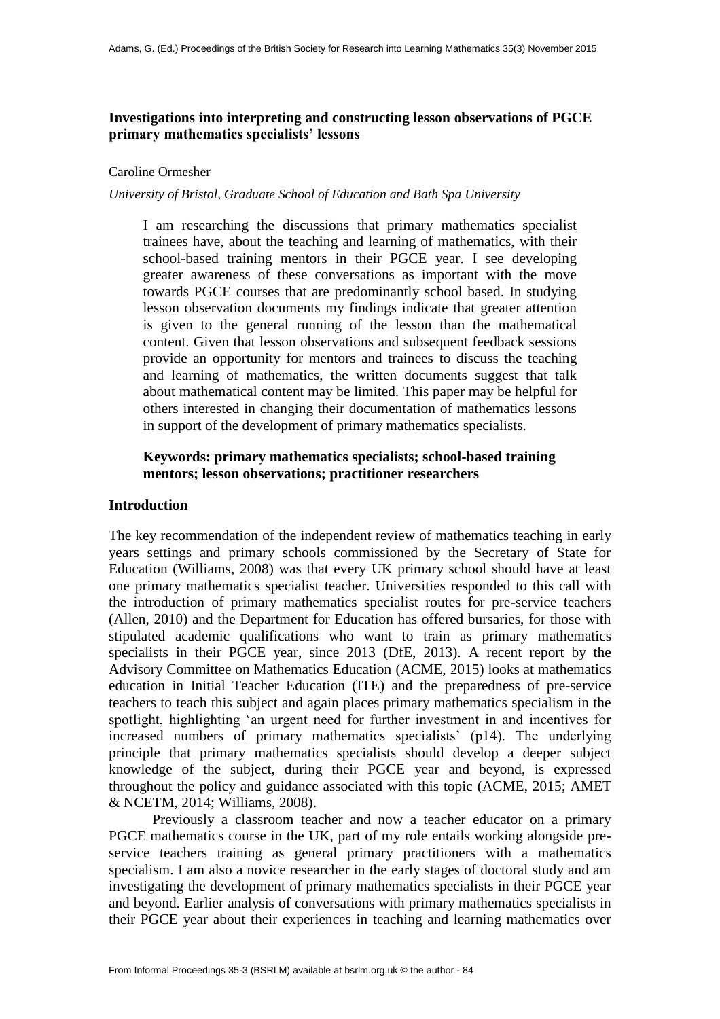# **Investigations into interpreting and constructing lesson observations of PGCE primary mathematics specialists' lessons**

### Caroline Ormesher

# *University of Bristol, Graduate School of Education and Bath Spa University*

I am researching the discussions that primary mathematics specialist trainees have, about the teaching and learning of mathematics, with their school-based training mentors in their PGCE year. I see developing greater awareness of these conversations as important with the move towards PGCE courses that are predominantly school based. In studying lesson observation documents my findings indicate that greater attention is given to the general running of the lesson than the mathematical content. Given that lesson observations and subsequent feedback sessions provide an opportunity for mentors and trainees to discuss the teaching and learning of mathematics, the written documents suggest that talk about mathematical content may be limited. This paper may be helpful for others interested in changing their documentation of mathematics lessons in support of the development of primary mathematics specialists.

# **Keywords: primary mathematics specialists; school-based training mentors; lesson observations; practitioner researchers**

# **Introduction**

The key recommendation of the independent review of mathematics teaching in early years settings and primary schools commissioned by the Secretary of State for Education (Williams, 2008) was that every UK primary school should have at least one primary mathematics specialist teacher. Universities responded to this call with the introduction of primary mathematics specialist routes for pre-service teachers (Allen, 2010) and the Department for Education has offered bursaries, for those with stipulated academic qualifications who want to train as primary mathematics specialists in their PGCE year, since 2013 (DfE, 2013). A recent report by the Advisory Committee on Mathematics Education (ACME, 2015) looks at mathematics education in Initial Teacher Education (ITE) and the preparedness of pre-service teachers to teach this subject and again places primary mathematics specialism in the spotlight, highlighting 'an urgent need for further investment in and incentives for increased numbers of primary mathematics specialists' (p14). The underlying principle that primary mathematics specialists should develop a deeper subject knowledge of the subject, during their PGCE year and beyond, is expressed throughout the policy and guidance associated with this topic (ACME, 2015; AMET & NCETM, 2014; Williams, 2008).

Previously a classroom teacher and now a teacher educator on a primary PGCE mathematics course in the UK, part of my role entails working alongside preservice teachers training as general primary practitioners with a mathematics specialism. I am also a novice researcher in the early stages of doctoral study and am investigating the development of primary mathematics specialists in their PGCE year and beyond. Earlier analysis of conversations with primary mathematics specialists in their PGCE year about their experiences in teaching and learning mathematics over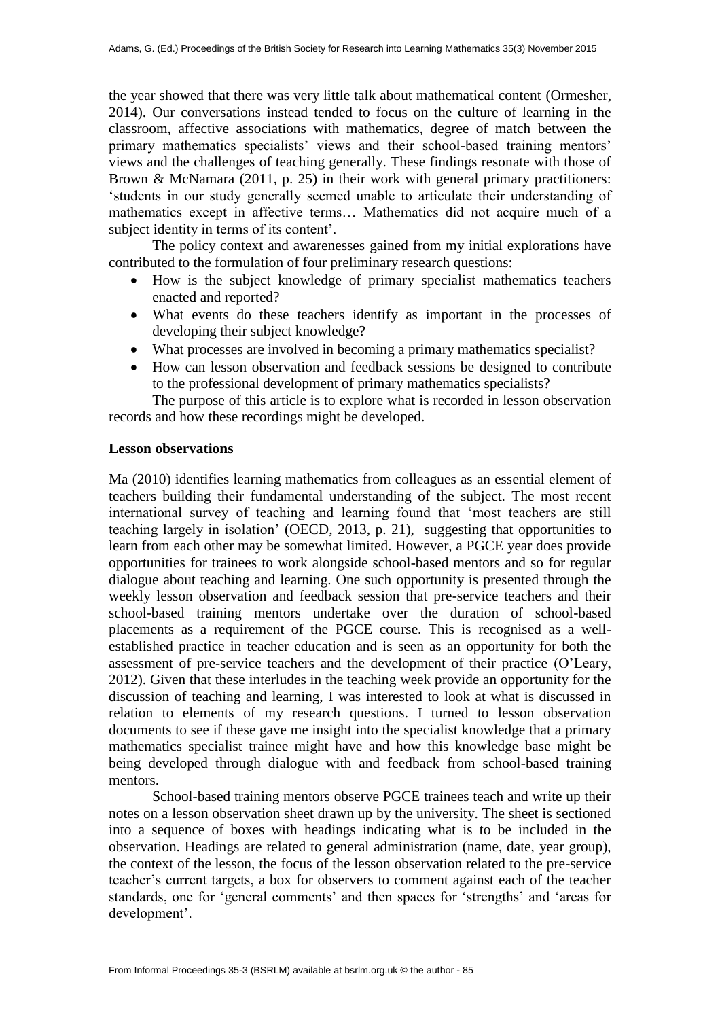the year showed that there was very little talk about mathematical content (Ormesher, 2014). Our conversations instead tended to focus on the culture of learning in the classroom, affective associations with mathematics, degree of match between the primary mathematics specialists' views and their school-based training mentors' views and the challenges of teaching generally. These findings resonate with those of Brown & McNamara (2011, p. 25) in their work with general primary practitioners: 'students in our study generally seemed unable to articulate their understanding of mathematics except in affective terms… Mathematics did not acquire much of a subject identity in terms of its content'.

The policy context and awarenesses gained from my initial explorations have contributed to the formulation of four preliminary research questions:

- How is the subject knowledge of primary specialist mathematics teachers enacted and reported?
- What events do these teachers identify as important in the processes of developing their subject knowledge?
- What processes are involved in becoming a primary mathematics specialist?
- How can lesson observation and feedback sessions be designed to contribute to the professional development of primary mathematics specialists?

The purpose of this article is to explore what is recorded in lesson observation records and how these recordings might be developed.

#### **Lesson observations**

Ma (2010) identifies learning mathematics from colleagues as an essential element of teachers building their fundamental understanding of the subject. The most recent international survey of teaching and learning found that 'most teachers are still teaching largely in isolation' (OECD, 2013, p. 21), suggesting that opportunities to learn from each other may be somewhat limited. However, a PGCE year does provide opportunities for trainees to work alongside school-based mentors and so for regular dialogue about teaching and learning. One such opportunity is presented through the weekly lesson observation and feedback session that pre-service teachers and their school-based training mentors undertake over the duration of school-based placements as a requirement of the PGCE course. This is recognised as a wellestablished practice in teacher education and is seen as an opportunity for both the assessment of pre-service teachers and the development of their practice (O'Leary, 2012). Given that these interludes in the teaching week provide an opportunity for the discussion of teaching and learning, I was interested to look at what is discussed in relation to elements of my research questions. I turned to lesson observation documents to see if these gave me insight into the specialist knowledge that a primary mathematics specialist trainee might have and how this knowledge base might be being developed through dialogue with and feedback from school-based training mentors.

School-based training mentors observe PGCE trainees teach and write up their notes on a lesson observation sheet drawn up by the university. The sheet is sectioned into a sequence of boxes with headings indicating what is to be included in the observation. Headings are related to general administration (name, date, year group), the context of the lesson, the focus of the lesson observation related to the pre-service teacher's current targets, a box for observers to comment against each of the teacher standards, one for 'general comments' and then spaces for 'strengths' and 'areas for development'.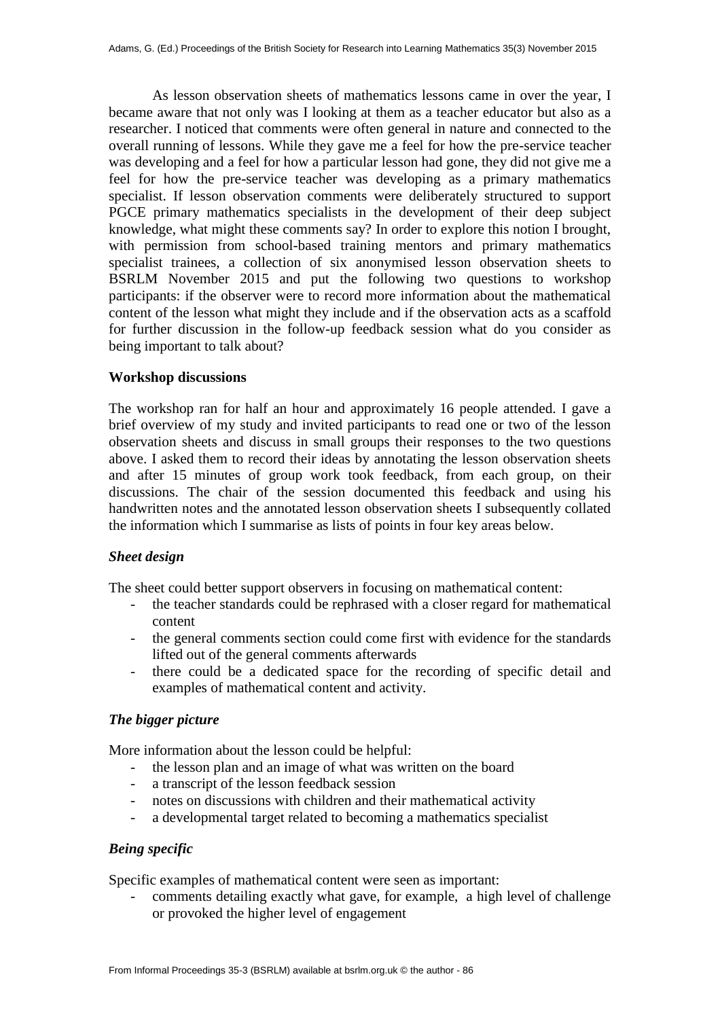As lesson observation sheets of mathematics lessons came in over the year, I became aware that not only was I looking at them as a teacher educator but also as a researcher. I noticed that comments were often general in nature and connected to the overall running of lessons. While they gave me a feel for how the pre-service teacher was developing and a feel for how a particular lesson had gone, they did not give me a feel for how the pre-service teacher was developing as a primary mathematics specialist. If lesson observation comments were deliberately structured to support PGCE primary mathematics specialists in the development of their deep subject knowledge, what might these comments say? In order to explore this notion I brought, with permission from school-based training mentors and primary mathematics specialist trainees, a collection of six anonymised lesson observation sheets to BSRLM November 2015 and put the following two questions to workshop participants: if the observer were to record more information about the mathematical content of the lesson what might they include and if the observation acts as a scaffold for further discussion in the follow-up feedback session what do you consider as being important to talk about?

# **Workshop discussions**

The workshop ran for half an hour and approximately 16 people attended. I gave a brief overview of my study and invited participants to read one or two of the lesson observation sheets and discuss in small groups their responses to the two questions above. I asked them to record their ideas by annotating the lesson observation sheets and after 15 minutes of group work took feedback, from each group, on their discussions. The chair of the session documented this feedback and using his handwritten notes and the annotated lesson observation sheets I subsequently collated the information which I summarise as lists of points in four key areas below.

# *Sheet design*

The sheet could better support observers in focusing on mathematical content:

- the teacher standards could be rephrased with a closer regard for mathematical content
- the general comments section could come first with evidence for the standards lifted out of the general comments afterwards
- there could be a dedicated space for the recording of specific detail and examples of mathematical content and activity.

# *The bigger picture*

More information about the lesson could be helpful:

- the lesson plan and an image of what was written on the board
- a transcript of the lesson feedback session
- notes on discussions with children and their mathematical activity
- a developmental target related to becoming a mathematics specialist

# *Being specific*

Specific examples of mathematical content were seen as important:

- comments detailing exactly what gave, for example, a high level of challenge or provoked the higher level of engagement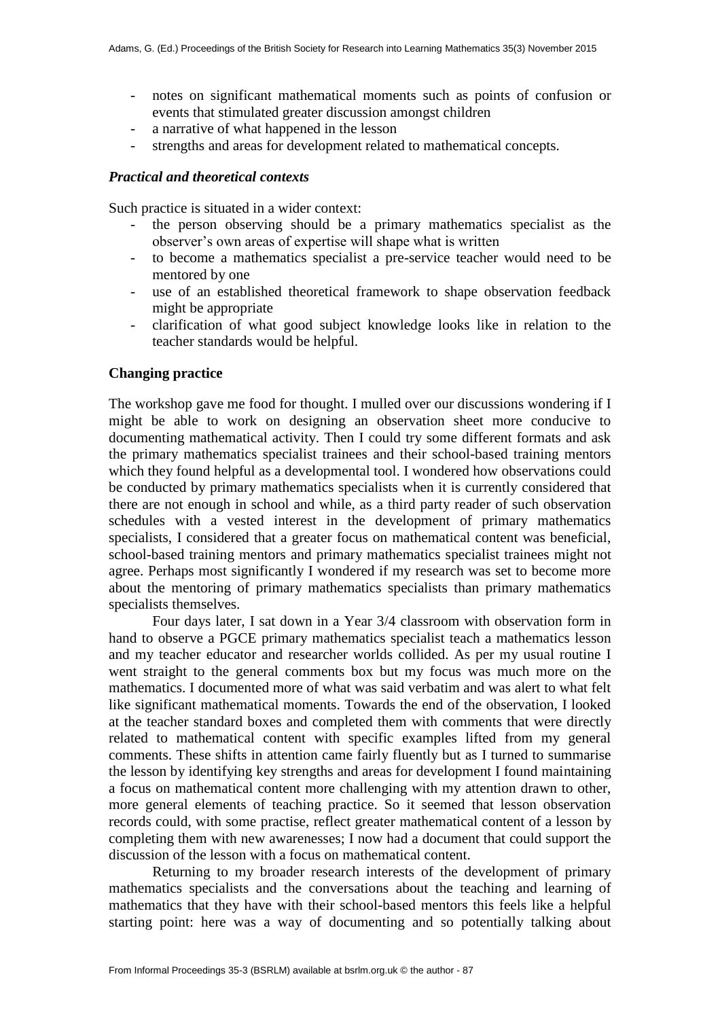- notes on significant mathematical moments such as points of confusion or events that stimulated greater discussion amongst children
- a narrative of what happened in the lesson
- strengths and areas for development related to mathematical concepts.

### *Practical and theoretical contexts*

Such practice is situated in a wider context:

- the person observing should be a primary mathematics specialist as the observer's own areas of expertise will shape what is written
- to become a mathematics specialist a pre-service teacher would need to be mentored by one
- use of an established theoretical framework to shape observation feedback might be appropriate
- clarification of what good subject knowledge looks like in relation to the teacher standards would be helpful.

### **Changing practice**

The workshop gave me food for thought. I mulled over our discussions wondering if I might be able to work on designing an observation sheet more conducive to documenting mathematical activity. Then I could try some different formats and ask the primary mathematics specialist trainees and their school-based training mentors which they found helpful as a developmental tool. I wondered how observations could be conducted by primary mathematics specialists when it is currently considered that there are not enough in school and while, as a third party reader of such observation schedules with a vested interest in the development of primary mathematics specialists, I considered that a greater focus on mathematical content was beneficial, school-based training mentors and primary mathematics specialist trainees might not agree. Perhaps most significantly I wondered if my research was set to become more about the mentoring of primary mathematics specialists than primary mathematics specialists themselves.

Four days later, I sat down in a Year 3/4 classroom with observation form in hand to observe a PGCE primary mathematics specialist teach a mathematics lesson and my teacher educator and researcher worlds collided. As per my usual routine I went straight to the general comments box but my focus was much more on the mathematics. I documented more of what was said verbatim and was alert to what felt like significant mathematical moments. Towards the end of the observation, I looked at the teacher standard boxes and completed them with comments that were directly related to mathematical content with specific examples lifted from my general comments. These shifts in attention came fairly fluently but as I turned to summarise the lesson by identifying key strengths and areas for development I found maintaining a focus on mathematical content more challenging with my attention drawn to other, more general elements of teaching practice. So it seemed that lesson observation records could, with some practise, reflect greater mathematical content of a lesson by completing them with new awarenesses; I now had a document that could support the discussion of the lesson with a focus on mathematical content.

Returning to my broader research interests of the development of primary mathematics specialists and the conversations about the teaching and learning of mathematics that they have with their school-based mentors this feels like a helpful starting point: here was a way of documenting and so potentially talking about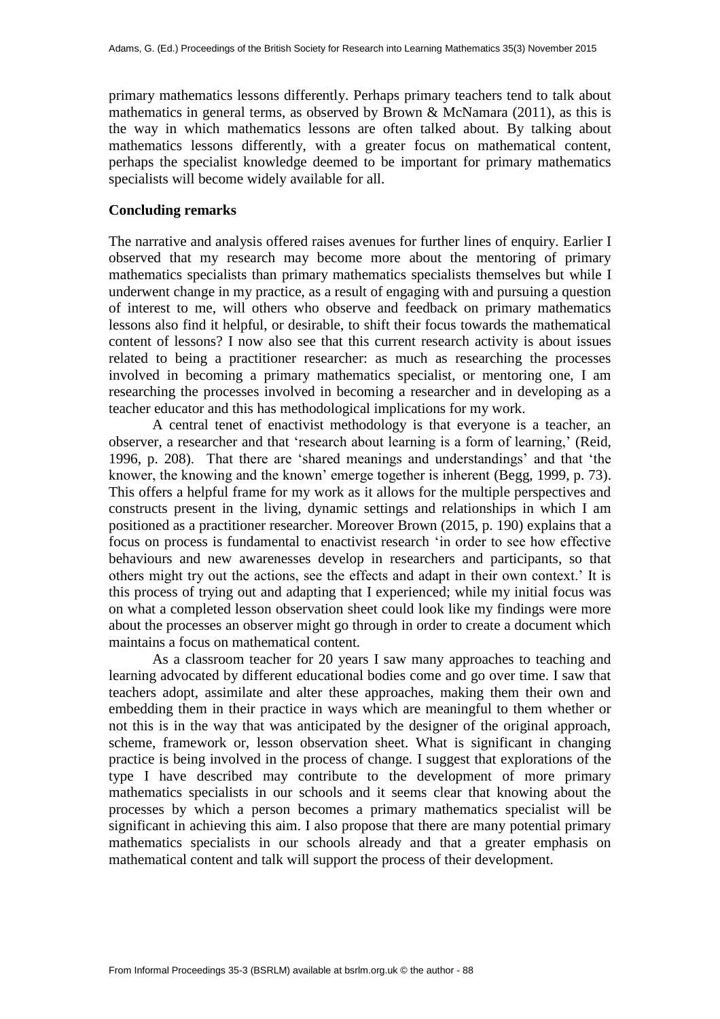primary mathematics lessons differently. Perhaps primary teachers tend to talk about mathematics in general terms, as observed by Brown & McNamara (2011), as this is the way in which mathematics lessons are often talked about. By talking about mathematics lessons differently, with a greater focus on mathematical content, perhaps the specialist knowledge deemed to be important for primary mathematics specialists will become widely available for all.

#### **Concluding remarks**

The narrative and analysis offered raises avenues for further lines of enquiry. Earlier I observed that my research may become more about the mentoring of primary mathematics specialists than primary mathematics specialists themselves but while I underwent change in my practice, as a result of engaging with and pursuing a question of interest to me, will others who observe and feedback on primary mathematics lessons also find it helpful, or desirable, to shift their focus towards the mathematical content of lessons? I now also see that this current research activity is about issues related to being a practitioner researcher: as much as researching the processes involved in becoming a primary mathematics specialist, or mentoring one, I am researching the processes involved in becoming a researcher and in developing as a teacher educator and this has methodological implications for my work.

A central tenet of enactivist methodology is that everyone is a teacher, an observer, a researcher and that 'research about learning is a form of learning,' (Reid, 1996, p. 208). That there are 'shared meanings and understandings' and that 'the knower, the knowing and the known' emerge together is inherent (Begg, 1999, p. 73). This offers a helpful frame for my work as it allows for the multiple perspectives and constructs present in the living, dynamic settings and relationships in which I am positioned as a practitioner researcher. Moreover Brown (2015, p. 190) explains that a focus on process is fundamental to enactivist research 'in order to see how effective behaviours and new awarenesses develop in researchers and participants, so that others might try out the actions, see the effects and adapt in their own context.' It is this process of trying out and adapting that I experienced; while my initial focus was on what a completed lesson observation sheet could look like my findings were more about the processes an observer might go through in order to create a document which maintains a focus on mathematical content.

As a classroom teacher for 20 years I saw many approaches to teaching and learning advocated by different educational bodies come and go over time. I saw that teachers adopt, assimilate and alter these approaches, making them their own and embedding them in their practice in ways which are meaningful to them whether or not this is in the way that was anticipated by the designer of the original approach, scheme, framework or, lesson observation sheet. What is significant in changing practice is being involved in the process of change. I suggest that explorations of the type I have described may contribute to the development of more primary mathematics specialists in our schools and it seems clear that knowing about the processes by which a person becomes a primary mathematics specialist will be significant in achieving this aim. I also propose that there are many potential primary mathematics specialists in our schools already and that a greater emphasis on mathematical content and talk will support the process of their development.